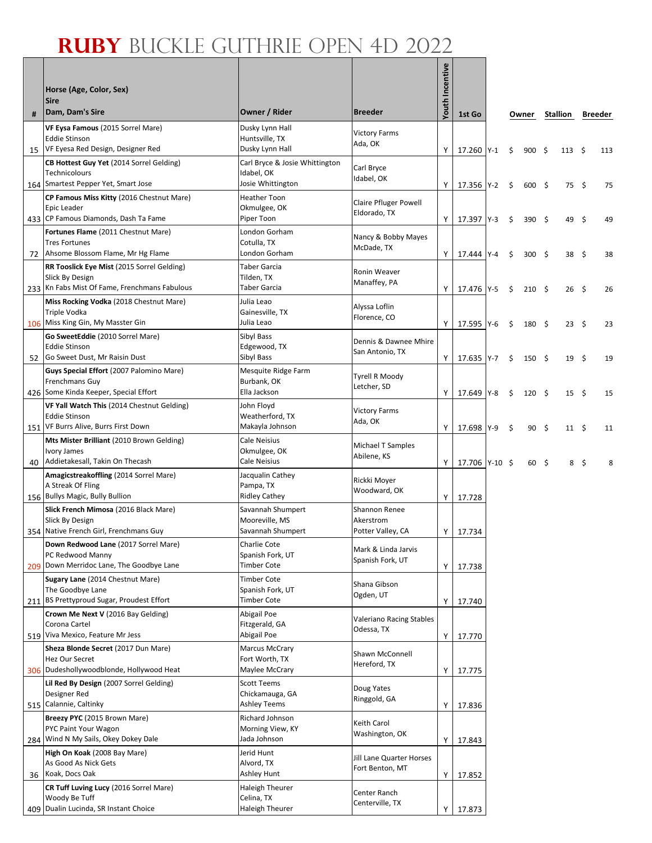|    | Horse (Age, Color, Sex)                                            |                                        |                                      | outh Incentive |                |       |    |              |      |             |      |         |
|----|--------------------------------------------------------------------|----------------------------------------|--------------------------------------|----------------|----------------|-------|----|--------------|------|-------------|------|---------|
| #  | <b>Sire</b><br>Dam, Dam's Sire                                     | Owner / Rider                          | <b>Breeder</b>                       |                | 1st Go         |       |    | Owner        |      | Stallion    |      | Breeder |
|    | VF Eysa Famous (2015 Sorrel Mare)                                  | Dusky Lynn Hall                        | <b>Victory Farms</b>                 |                |                |       |    |              |      |             |      |         |
| 15 | <b>Eddie Stinson</b><br>VF Eyesa Red Design, Designer Red          | Huntsville, TX<br>Dusky Lynn Hall      | Ada, OK                              | Y              | 17.260 Y-1     |       | Ś. | $900 \div$   |      | $113 \quad$ |      | 113     |
|    | CB Hottest Guy Yet (2014 Sorrel Gelding)                           | Carl Bryce & Josie Whittington         |                                      |                |                |       |    |              |      |             |      |         |
|    | <b>Technicolours</b>                                               | Idabel, OK                             | Carl Bryce<br>Idabel, OK             |                |                |       |    |              |      |             |      |         |
|    | 164 Smartest Pepper Yet, Smart Jose                                | Josie Whittington                      |                                      | Y              | 17.356 Y-2     |       | \$ | 600 \$       |      | 75\$        |      | 75      |
|    | <b>CP Famous Miss Kitty (2016 Chestnut Mare)</b><br>Epic Leader    | <b>Heather Toon</b><br>Okmulgee, OK    | <b>Claire Pfluger Powell</b>         |                |                |       |    |              |      |             |      |         |
|    | 433 CP Famous Diamonds, Dash Ta Fame                               | Piper Toon                             | Eldorado, TX                         | Y              | 17.397 Y-3     |       | \$ | 390 \$       |      | 49          | - \$ | 49      |
|    | Fortunes Flame (2011 Chestnut Mare)                                | London Gorham                          | Nancy & Bobby Mayes                  |                |                |       |    |              |      |             |      |         |
| 72 | <b>Tres Fortunes</b><br>Ahsome Blossom Flame, Mr Hg Flame          | Cotulla, TX<br>London Gorham           | McDade, TX                           | Y I            | 17.444 Y-4     |       | Ŝ  | 300          | - \$ | 38 \$       |      | 38      |
|    | RR Tooslick Eye Mist (2015 Sorrel Gelding)                         | <b>Taber Garcia</b>                    |                                      |                |                |       |    |              |      |             |      |         |
|    | Slick By Design                                                    | Tilden, TX                             | Ronin Weaver<br>Manaffey, PA         |                |                |       |    |              |      |             |      |         |
|    | 233 Kn Fabs Mist Of Fame, Frenchmans Fabulous                      | Taber Garcia                           |                                      | Y              | 17.476 Y-5     |       | \$ | $210 \pm$    |      | $26 \quad$  |      | 26      |
|    | Miss Rocking Vodka (2018 Chestnut Mare)<br>Triple Vodka            | Julia Leao<br>Gainesville, TX          | Alyssa Loflin                        |                |                |       |    |              |      |             |      |         |
|    | 106 Miss King Gin, My Masster Gin                                  | Julia Leao                             | Florence, CO                         | Y              | 17.595 Y-6     |       | \$ | 180 \$       |      | $23 \quad$  |      | 23      |
|    | Go SweetEddie (2010 Sorrel Mare)                                   | Sibyl Bass                             | Dennis & Dawnee Mhire                |                |                |       |    |              |      |             |      |         |
| 52 | <b>Eddie Stinson</b><br>Go Sweet Dust, Mr Raisin Dust              | Edgewood, TX<br>Sibyl Bass             | San Antonio, TX                      | Y              | 17.635 Y-7     |       | \$ | 150 \$       |      | 19          | - \$ | 19      |
|    | Guys Special Effort (2007 Palomino Mare)                           | Mesquite Ridge Farm                    |                                      |                |                |       |    |              |      |             |      |         |
|    | Frenchmans Guy                                                     | Burbank, OK                            | <b>Tyrell R Moody</b><br>Letcher, SD |                |                |       |    |              |      |             |      |         |
|    | 426 Some Kinda Keeper, Special Effort                              | Ella Jackson                           |                                      | Y I            | 17.649 Y-8     |       | \$ | $120 \pm$    |      | $15 \quad$  |      | 15      |
|    | VF Yall Watch This (2014 Chestnut Gelding)<br><b>Eddie Stinson</b> | John Floyd<br>Weatherford, TX          | <b>Victory Farms</b>                 |                |                |       |    |              |      |             |      |         |
|    | 151 VF Burrs Alive, Burrs First Down                               | Makayla Johnson                        | Ada, OK                              | Y              | 17.698         | $Y-9$ | Ŝ. | 90           | - \$ | $11 \quad$  |      | 11      |
|    | Mts Mister Brilliant (2010 Brown Gelding)                          | Cale Neisius                           | Michael T Samples                    |                |                |       |    |              |      |             |      |         |
| 40 | <b>Ivory James</b><br>Addietakesall, Takin On Thecash              | Okmulgee, OK<br>Cale Neisius           | Abilene, KS                          | Y I            |                |       |    |              |      |             |      |         |
|    | Amagicstreakoffling (2014 Sorrel Mare)                             | Jacqualin Cathey                       |                                      |                | 17.706 Y-10 \$ |       |    | $60 \quad $$ |      |             | 8\$  |         |
|    | A Streak Of Fling                                                  | Pampa, TX                              | Rickki Moyer<br>Woodward, OK         |                |                |       |    |              |      |             |      |         |
|    | 156 Bullys Magic, Bully Bullion                                    | <b>Ridley Cathey</b>                   |                                      | Y I            | 17.728         |       |    |              |      |             |      |         |
|    | Slick French Mimosa (2016 Black Mare)<br>Slick By Design           | Savannah Shumpert<br>Mooreville, MS    | Shannon Renee<br>Akerstrom           |                |                |       |    |              |      |             |      |         |
|    | 354 Native French Girl, Frenchmans Guy                             | Savannah Shumpert                      | Potter Valley, CA                    | ΥI             | 17.734         |       |    |              |      |             |      |         |
|    | Down Redwood Lane (2017 Sorrel Mare)                               | Charlie Cote                           | Mark & Linda Jarvis                  |                |                |       |    |              |      |             |      |         |
|    | PC Redwood Manny<br>209 Down Merridoc Lane, The Goodbye Lane       | Spanish Fork, UT<br><b>Timber Cote</b> | Spanish Fork, UT                     | Y              | 17.738         |       |    |              |      |             |      |         |
|    | Sugary Lane (2014 Chestnut Mare)                                   | <b>Timber Cote</b>                     |                                      |                |                |       |    |              |      |             |      |         |
|    | The Goodbye Lane                                                   | Spanish Fork, UT                       | Shana Gibson<br>Ogden, UT            |                |                |       |    |              |      |             |      |         |
|    | 211 BS Prettyproud Sugar, Proudest Effort                          | <b>Timber Cote</b>                     |                                      | Y              | 17.740         |       |    |              |      |             |      |         |
|    | <b>Crown Me Next V</b> (2016 Bay Gelding)<br>Corona Cartel         | Abigail Poe<br>Fitzgerald, GA          | Valeriano Racing Stables             |                |                |       |    |              |      |             |      |         |
|    | 519 Viva Mexico, Feature Mr Jess                                   | Abigail Poe                            | Odessa, TX                           | Y              | 17.770         |       |    |              |      |             |      |         |
|    | Sheza Blonde Secret (2017 Dun Mare)                                | <b>Marcus McCrary</b>                  | Shawn McConnell                      |                |                |       |    |              |      |             |      |         |
|    | Hez Our Secret<br>306 Dudeshollywoodblonde, Hollywood Heat         | Fort Worth, TX<br>Maylee McCrary       | Hereford, TX                         | Y              | 17.775         |       |    |              |      |             |      |         |
|    | Lil Red By Design (2007 Sorrel Gelding)                            | <b>Scott Teems</b>                     |                                      |                |                |       |    |              |      |             |      |         |
|    | Designer Red                                                       | Chickamauga, GA                        | Doug Yates<br>Ringgold, GA           |                |                |       |    |              |      |             |      |         |
|    | 515 Calannie, Caltinky                                             | <b>Ashley Teems</b>                    |                                      | Y              | 17.836         |       |    |              |      |             |      |         |
|    | Breezy PYC (2015 Brown Mare)<br>PYC Paint Your Wagon               | Richard Johnson<br>Morning View, KY    | Keith Carol                          |                |                |       |    |              |      |             |      |         |
|    | 284 Wind N My Sails, Okey Dokey Dale                               | Jada Johnson                           | Washington, OK                       | Y              | 17.843         |       |    |              |      |             |      |         |
|    | High On Koak (2008 Bay Mare)                                       | Jerid Hunt                             | Jill Lane Quarter Horses             |                |                |       |    |              |      |             |      |         |
|    | As Good As Nick Gets<br>36 Koak, Docs Oak                          | Alvord, TX<br>Ashley Hunt              | Fort Benton, MT                      | Y              | 17.852         |       |    |              |      |             |      |         |
|    | CR Tuff Luving Lucy (2016 Sorrel Mare)                             | Haleigh Theurer                        | Center Ranch                         |                |                |       |    |              |      |             |      |         |
|    | Woody Be Tuff                                                      | Celina, TX                             | Centerville, TX                      |                |                |       |    |              |      |             |      |         |
|    | 409 Dualin Lucinda, SR Instant Choice                              | <b>Haleigh Theurer</b>                 |                                      | ΥI             | 17.873         |       |    |              |      |             |      |         |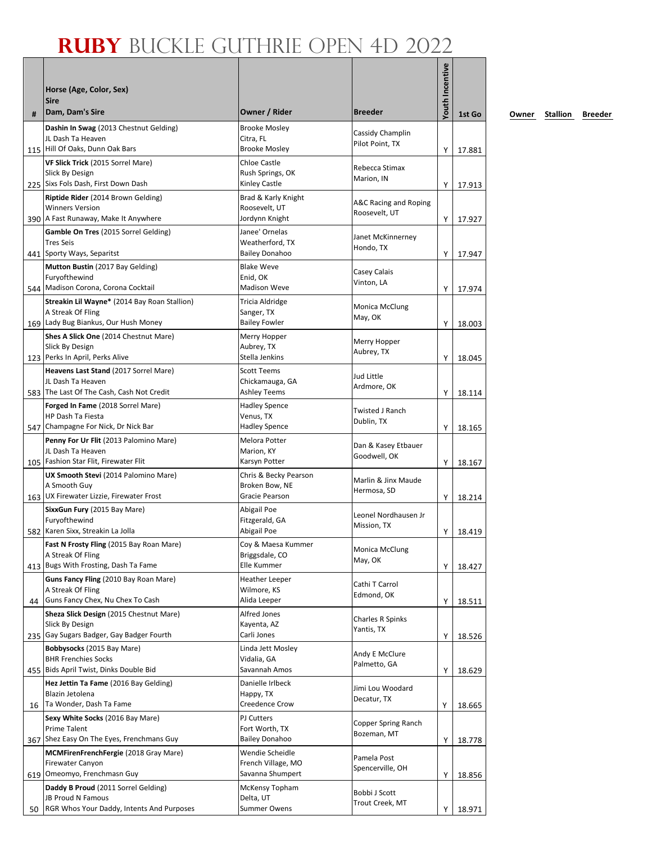| #  | Horse (Age, Color, Sex)<br><b>Sire</b><br>Dam, Dam's Sire                                                 | Owner / Rider                                                | <b>Breeder</b>                         | Youth Incentive | 1st Go           |
|----|-----------------------------------------------------------------------------------------------------------|--------------------------------------------------------------|----------------------------------------|-----------------|------------------|
|    | Dashin In Swag (2013 Chestnut Gelding)<br>JL Dash Ta Heaven<br>115 Hill Of Oaks, Dunn Oak Bars            | <b>Brooke Mosley</b><br>Citra, FL<br><b>Brooke Mosley</b>    | Cassidy Champlin<br>Pilot Point, TX    |                 |                  |
|    | VF Slick Trick (2015 Sorrel Mare)<br>Slick By Design<br>225 Sixs Fols Dash, First Down Dash               | Chloe Castle<br>Rush Springs, OK<br>Kinley Castle            | Rebecca Stimax<br>Marion, IN           | Y<br>Y          | 17.881<br>17.913 |
|    | Riptide Rider (2014 Brown Gelding)<br><b>Winners Version</b><br>390 A Fast Runaway, Make It Anywhere      | Brad & Karly Knight<br>Roosevelt, UT<br>Jordynn Knight       | A&C Racing and Roping<br>Roosevelt, UT | Y               | 17.927           |
|    | Gamble On Tres (2015 Sorrel Gelding)<br><b>Tres Seis</b><br>441 Sporty Ways, Separitst                    | Janee' Ornelas<br>Weatherford, TX<br><b>Bailey Donahoo</b>   | Janet McKinnerney<br>Hondo, TX         | Υ               | 17.947           |
|    | Mutton Bustin (2017 Bay Gelding)<br>Furyofthewind<br>544 Madison Corona, Corona Cocktail                  | <b>Blake Weve</b><br>Enid, OK<br><b>Madison Weve</b>         | Casey Calais<br>Vinton, LA             | Y               | 17.974           |
|    | Streakin Lil Wayne* (2014 Bay Roan Stallion)<br>A Streak Of Fling<br>169 Lady Bug Biankus, Our Hush Money | <b>Tricia Aldridge</b><br>Sanger, TX<br><b>Bailey Fowler</b> | Monica McClung<br>May, OK              | Y               | 18.003           |
|    | Shes A Slick One (2014 Chestnut Mare)<br>Slick By Design<br>123 Perks In April, Perks Alive               | Merry Hopper<br>Aubrey, TX<br>Stella Jenkins                 | Merry Hopper<br>Aubrey, TX             | Y               | 18.045           |
|    | Heavens Last Stand (2017 Sorrel Mare)<br>JL Dash Ta Heaven<br>583 The Last Of The Cash, Cash Not Credit   | <b>Scott Teems</b><br>Chickamauga, GA<br>Ashley Teems        | Jud Little<br>Ardmore, OK              | Υ               | 18.114           |
|    | Forged In Fame (2018 Sorrel Mare)<br><b>HP Dash Ta Fiesta</b><br>547 Champagne For Nick, Dr Nick Bar      | <b>Hadley Spence</b><br>Venus, TX<br><b>Hadley Spence</b>    | Twisted J Ranch<br>Dublin, TX          | Y               | 18.165           |
|    | Penny For Ur Flit (2013 Palomino Mare)<br>JL Dash Ta Heaven<br>105 Fashion Star Flit, Firewater Flit      | <b>Melora Potter</b><br>Marion, KY<br>Karsyn Potter          | Dan & Kasey Etbauer<br>Goodwell, OK    | Υ               | 18.167           |
|    | UX Smooth Stevi (2014 Palomino Mare)<br>A Smooth Guy<br>163 UX Firewater Lizzie, Firewater Frost          | Chris & Becky Pearson<br>Broken Bow, NE<br>Gracie Pearson    | Marlin & Jinx Maude<br>Hermosa, SD     | Y               | 18.214           |
|    | SixxGun Fury (2015 Bay Mare)<br>Furyofthewind<br>582 Karen Sixx, Streakin La Jolla                        | Abigail Poe<br>Fitzgerald, GA<br>Abigail Poe                 | Leonel Nordhausen Jr<br>Mission, TX    | Y               | 18.419           |
|    | Fast N Frosty Fling (2015 Bay Roan Mare)<br>A Streak Of Fling<br>413 Bugs With Frosting, Dash Ta Fame     | Coy & Maesa Kummer<br>Briggsdale, CO<br>Elle Kummer          | Monica McClung<br>May, OK              | Υ               | 18.427           |
| 44 | Guns Fancy Fling (2010 Bay Roan Mare)<br>A Streak Of Fling<br>Guns Fancy Chex, Nu Chex To Cash            | Heather Leeper<br>Wilmore, KS<br>Alida Leeper                | Cathi T Carrol<br>Edmond, OK           | Y               | 18.511           |
|    | Sheza Slick Design (2015 Chestnut Mare)<br>Slick By Design<br>235 Gay Sugars Badger, Gay Badger Fourth    | Alfred Jones<br>Kayenta, AZ<br>Carli Jones                   | Charles R Spinks<br>Yantis, TX         | Y               | 18.526           |
|    | Bobbysocks (2015 Bay Mare)<br><b>BHR Frenchies Socks</b><br>455 Bids April Twist, Dinks Double Bid        | Linda Jett Mosley<br>Vidalia, GA<br>Savannah Amos            | Andy E McClure<br>Palmetto, GA         | Υ               | 18.629           |
| 16 | Hez Jettin Ta Fame (2016 Bay Gelding)<br>Blazin Jetolena<br>Ta Wonder, Dash Ta Fame                       | Danielle Irlbeck<br>Happy, TX<br>Creedence Crow              | Jimi Lou Woodard<br>Decatur, TX        | Υ               | 18.665           |
|    | Sexy White Socks (2016 Bay Mare)<br>Prime Talent<br>367 Shez Easy On The Eyes, Frenchmans Guy             | PJ Cutters<br>Fort Worth, TX<br><b>Bailey Donahoo</b>        | Copper Spring Ranch<br>Bozeman, MT     | Υ               | 18.778           |
|    | MCMFirenFrenchFergie (2018 Gray Mare)<br>Firewater Canyon<br>619 Omeomyo, Frenchmasn Guy                  | Wendie Scheidle<br>French Village, MO<br>Savanna Shumpert    | Pamela Post<br>Spencerville, OH        | Υ               | 18.856           |
| 50 | Daddy B Proud (2011 Sorrel Gelding)<br>JB Proud N Famous<br>RGR Whos Your Daddy, Intents And Purposes     | McKensy Topham<br>Delta, UT<br>Summer Owens                  | Bobbi J Scott<br>Trout Creek, MT       | Y               | 18.971           |

**0wner Stallion Breeder**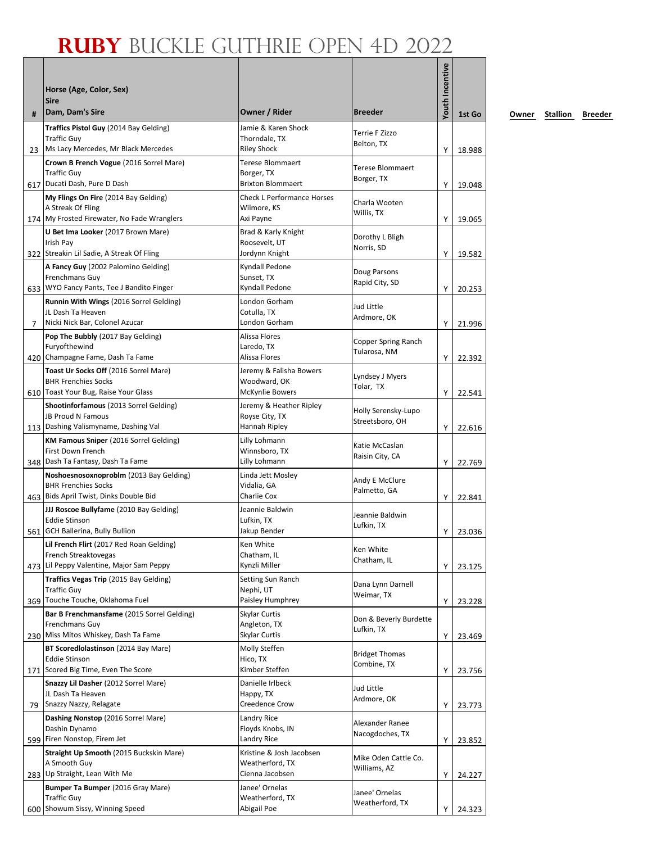| #           | Horse (Age, Color, Sex)<br><b>Sire</b><br>Dam, Dam's Sire                                                       | Owner / Rider                                                     | <b>Breeder</b>                         | <b>Youth Incentive</b> | 1st Go           |
|-------------|-----------------------------------------------------------------------------------------------------------------|-------------------------------------------------------------------|----------------------------------------|------------------------|------------------|
|             | Traffics Pistol Guy (2014 Bay Gelding)                                                                          | Jamie & Karen Shock                                               | Terrie F Zizzo                         |                        |                  |
| 23          | <b>Traffic Guy</b><br>Ms Lacy Mercedes, Mr Black Mercedes                                                       | Thorndale, TX<br><b>Riley Shock</b>                               | Belton, TX                             | Υ                      | 18.988           |
|             | Crown B French Vogue (2016 Sorrel Mare)<br><b>Traffic Guv</b><br>617 Ducati Dash, Pure D Dash                   | <b>Terese Blommaert</b><br>Borger, TX<br><b>Brixton Blommaert</b> | <b>Terese Blommaert</b><br>Borger, TX  | Y                      | 19.048           |
|             | My Flings On Fire (2014 Bay Gelding)<br>A Streak Of Fling<br>174 My Frosted Firewater, No Fade Wranglers        | <b>Check L Performance Horses</b><br>Wilmore, KS<br>Axi Payne     | Charla Wooten<br>Willis, TX            | Y                      | 19.065           |
|             | U Bet Ima Looker (2017 Brown Mare)<br>Irish Pay<br>322 Streakin Lil Sadie, A Streak Of Fling                    | Brad & Karly Knight<br>Roosevelt, UT<br>Jordynn Knight            | Dorothy L Bligh<br>Norris, SD          | Y                      | 19.582           |
|             | A Fancy Guy (2002 Palomino Gelding)<br>Frenchmans Guy<br>633 WYO Fancy Pants, Tee J Bandito Finger              | Kyndall Pedone<br>Sunset, TX<br>Kyndall Pedone                    | Doug Parsons<br>Rapid City, SD         | Y                      | 20.253           |
| $7^{\circ}$ | Runnin With Wings (2016 Sorrel Gelding)<br>JL Dash Ta Heaven<br>Nicki Nick Bar, Colonel Azucar                  | London Gorham<br>Cotulla, TX<br>London Gorham                     | Jud Little<br>Ardmore, OK              | Y                      |                  |
|             | Pop The Bubbly (2017 Bay Gelding)<br>Furyofthewind<br>420 Champagne Fame, Dash Ta Fame                          | Alissa Flores<br>Laredo, TX<br>Alissa Flores                      | Copper Spring Ranch<br>Tularosa, NM    |                        | 21.996           |
|             | Toast Ur Socks Off (2016 Sorrel Mare)<br><b>BHR Frenchies Socks</b><br>610   Toast Your Bug, Raise Your Glass   | Jeremy & Falisha Bowers<br>Woodward, OK<br>McKynlie Bowers        | Lyndsey J Myers<br>Tolar, TX           | Υ<br>Υ                 | 22.392<br>22.541 |
|             | Shootinforfamous (2013 Sorrel Gelding)<br>JB Proud N Famous<br>113   Dashing Valismyname, Dashing Val           | Jeremy & Heather Ripley<br>Royse City, TX<br>Hannah Ripley        | Holly Serensky-Lupo<br>Streetsboro, OH | Y                      | 22.616           |
|             | KM Famous Sniper (2016 Sorrel Gelding)<br>First Down French<br>348   Dash Ta Fantasy, Dash Ta Fame              | Lilly Lohmann<br>Winnsboro, TX<br>Lilly Lohmann                   | Katie McCaslan<br>Raisin City, CA      | Υ                      | 22.769           |
|             | Noshoesnosoxnoproblm (2013 Bay Gelding)<br><b>BHR Frenchies Socks</b><br>463 Bids April Twist, Dinks Double Bid | Linda Jett Mosley<br>Vidalia, GA<br>Charlie Cox                   | Andy E McClure<br>Palmetto, GA         | Υ                      | 22.841           |
|             | JJJ Roscoe Bullyfame (2010 Bay Gelding)<br><b>Eddie Stinson</b><br>561 GCH Ballerina, Bully Bullion             | Jeannie Baldwin<br>Lufkin, TX<br>Jakup Bender                     | Jeannie Baldwin<br>Lufkin, TX          | Y                      | 23.036           |
|             | Lil French Flirt (2017 Red Roan Gelding)<br>French Streaktovegas<br>473 Lil Peppy Valentine, Major Sam Peppy    | Ken White<br>Chatham, IL<br>Kynzli Miller                         | Ken White<br>Chatham, IL               | Υ                      | 23.125           |
|             | Traffics Vegas Trip (2015 Bay Gelding)<br><b>Traffic Guy</b><br>369 Touche Touche, Oklahoma Fuel                | Setting Sun Ranch<br>Nephi, UT<br>Paisley Humphrey                | Dana Lynn Darnell<br>Weimar, TX        | Υ                      | 23.228           |
|             | Bar B Frenchmansfame (2015 Sorrel Gelding)<br>Frenchmans Guy<br>230 Miss Mitos Whiskey, Dash Ta Fame            | Skylar Curtis<br>Angleton, TX<br>Skylar Curtis                    | Don & Beverly Burdette<br>Lufkin, TX   | Υ                      | 23.469           |
|             | BT Scoredlolastinson (2014 Bay Mare)<br><b>Eddie Stinson</b><br>171 Scored Big Time, Even The Score             | Molly Steffen<br>Hico, TX<br>Kimber Steffen                       | <b>Bridget Thomas</b><br>Combine, TX   |                        |                  |
|             | Snazzy Lil Dasher (2012 Sorrel Mare)<br>JL Dash Ta Heaven                                                       | Danielle Irlbeck<br>Happy, TX                                     | Jud Little<br>Ardmore, OK              | Υ                      | 23.756           |
| 79          | Snazzy Nazzy, Relagate<br>Dashing Nonstop (2016 Sorrel Mare)<br>Dashin Dynamo                                   | Creedence Crow<br>Landry Rice<br>Floyds Knobs, IN                 | Alexander Ranee<br>Nacogdoches, TX     | Υ                      | 23.773           |
|             | 599 Firen Nonstop, Firem Jet<br>Straight Up Smooth (2015 Buckskin Mare)<br>A Smooth Guy                         | Landry Rice<br>Kristine & Josh Jacobsen<br>Weatherford, TX        | Mike Oden Cattle Co.<br>Williams, AZ   | Υ                      | 23.852           |
|             | 283 Up Straight, Lean With Me<br>Bumper Ta Bumper (2016 Gray Mare)<br><b>Traffic Guy</b>                        | Cienna Jacobsen<br>Janee' Ornelas<br>Weatherford, TX              | Janee' Ornelas                         | Υ                      | 24.227           |
|             | 600 Showum Sissy, Winning Speed                                                                                 | Abigail Poe                                                       | Weatherford, TX                        | Υ                      | 24.323           |

**0wner Stallion Breeder**